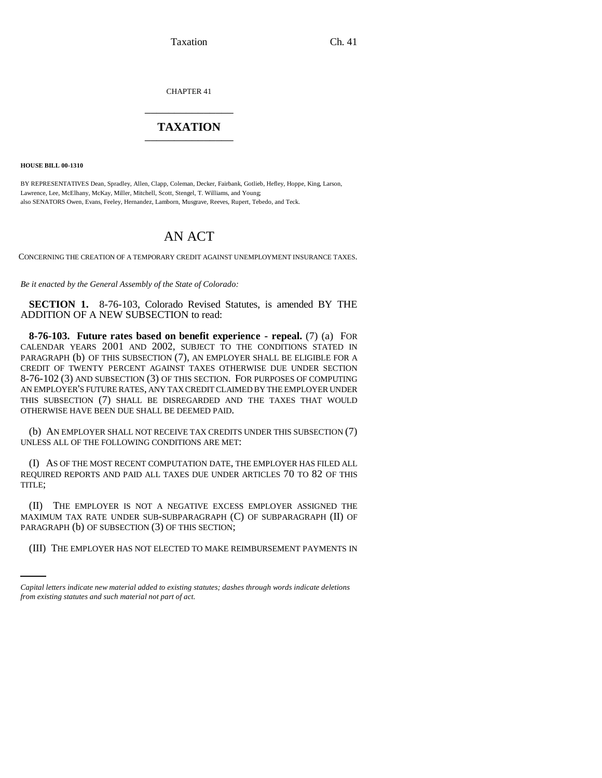Taxation Ch. 41

CHAPTER 41 \_\_\_\_\_\_\_\_\_\_\_\_\_\_\_

## **TAXATION** \_\_\_\_\_\_\_\_\_\_\_\_\_\_\_

**HOUSE BILL 00-1310** 

BY REPRESENTATIVES Dean, Spradley, Allen, Clapp, Coleman, Decker, Fairbank, Gotlieb, Hefley, Hoppe, King, Larson, Lawrence, Lee, McElhany, McKay, Miller, Mitchell, Scott, Stengel, T. Williams, and Young; also SENATORS Owen, Evans, Feeley, Hernandez, Lamborn, Musgrave, Reeves, Rupert, Tebedo, and Teck.

## AN ACT

CONCERNING THE CREATION OF A TEMPORARY CREDIT AGAINST UNEMPLOYMENT INSURANCE TAXES.

*Be it enacted by the General Assembly of the State of Colorado:*

**SECTION 1.** 8-76-103, Colorado Revised Statutes, is amended BY THE ADDITION OF A NEW SUBSECTION to read:

**8-76-103. Future rates based on benefit experience - repeal.** (7) (a) FOR CALENDAR YEARS 2001 AND 2002, SUBJECT TO THE CONDITIONS STATED IN PARAGRAPH (b) OF THIS SUBSECTION (7), AN EMPLOYER SHALL BE ELIGIBLE FOR A CREDIT OF TWENTY PERCENT AGAINST TAXES OTHERWISE DUE UNDER SECTION 8-76-102 (3) AND SUBSECTION (3) OF THIS SECTION. FOR PURPOSES OF COMPUTING AN EMPLOYER'S FUTURE RATES, ANY TAX CREDIT CLAIMED BY THE EMPLOYER UNDER THIS SUBSECTION (7) SHALL BE DISREGARDED AND THE TAXES THAT WOULD OTHERWISE HAVE BEEN DUE SHALL BE DEEMED PAID.

(b) AN EMPLOYER SHALL NOT RECEIVE TAX CREDITS UNDER THIS SUBSECTION (7) UNLESS ALL OF THE FOLLOWING CONDITIONS ARE MET:

(I) AS OF THE MOST RECENT COMPUTATION DATE, THE EMPLOYER HAS FILED ALL REQUIRED REPORTS AND PAID ALL TAXES DUE UNDER ARTICLES 70 TO 82 OF THIS TITLE;

PARAGRAPH (b) OF SUBSECTION (3) OF THIS SECTION; (II) THE EMPLOYER IS NOT A NEGATIVE EXCESS EMPLOYER ASSIGNED THE MAXIMUM TAX RATE UNDER SUB-SUBPARAGRAPH (C) OF SUBPARAGRAPH (II) OF

(III) THE EMPLOYER HAS NOT ELECTED TO MAKE REIMBURSEMENT PAYMENTS IN

*Capital letters indicate new material added to existing statutes; dashes through words indicate deletions from existing statutes and such material not part of act.*